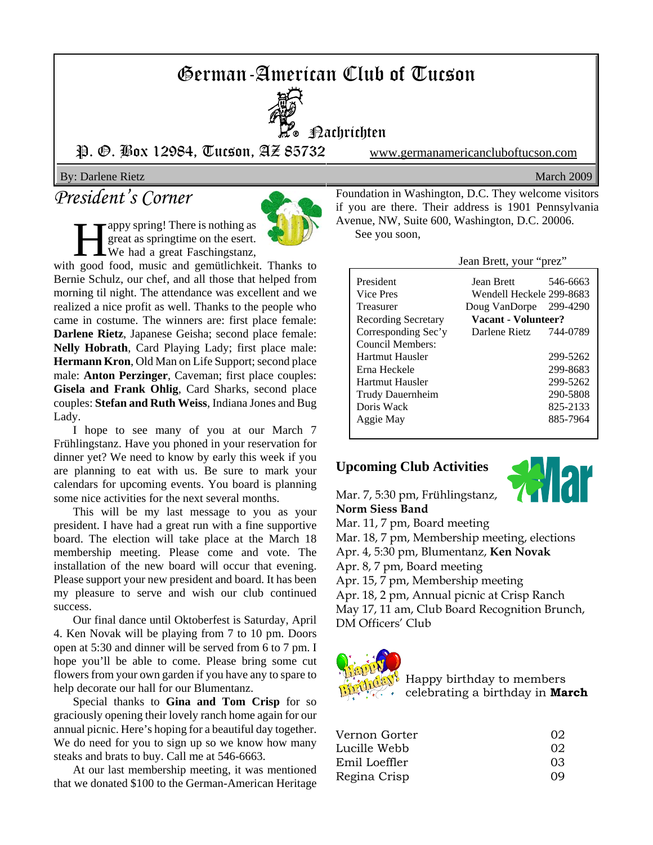# German-American Club of Tucson

**Dachrichten** 



P. O. Box 12984, Tucson, AZ 85732 www.germanamericancluboftucson.com

#### By: Darlene Rietz March 2009

# *President's Corner*

**Happy spring! There is nothing as<br>great as springtime on the esert.**<br>We had a great Faschingstanz, great as springtime on the esert.



with good food, music and gemütlichkeit. Thanks to Bernie Schulz, our chef, and all those that helped from morning til night. The attendance was excellent and we realized a nice profit as well. Thanks to the people who came in costume. The winners are: first place female: **Darlene Rietz**, Japanese Geisha; second place female: **Nelly Hobrath**, Card Playing Lady; first place male: **Hermann Kron**, Old Man on Life Support; second place male: **Anton Perzinger**, Caveman; first place couples: **Gisela and Frank Ohlig**, Card Sharks, second place couples: **Stefan and Ruth Weiss**, Indiana Jones and Bug Lady.

I hope to see many of you at our March 7 Frühlingstanz. Have you phoned in your reservation for dinner yet? We need to know by early this week if you are planning to eat with us. Be sure to mark your calendars for upcoming events. You board is planning some nice activities for the next several months.

This will be my last message to you as your president. I have had a great run with a fine supportive board. The election will take place at the March 18 membership meeting. Please come and vote. The installation of the new board will occur that evening. Please support your new president and board. It has been my pleasure to serve and wish our club continued success.

Our final dance until Oktoberfest is Saturday, April 4. Ken Novak will be playing from 7 to 10 pm. Doors open at 5:30 and dinner will be served from 6 to 7 pm. I hope you'll be able to come. Please bring some cut flowers from your own garden if you have any to spare to help decorate our hall for our Blumentanz.

Special thanks to **Gina and Tom Crisp** for so graciously opening their lovely ranch home again for our annual picnic. Here's hoping for a beautiful day together. We do need for you to sign up so we know how many steaks and brats to buy. Call me at 546-6663.

At our last membership meeting, it was mentioned that we donated \$100 to the German-American Heritage Foundation in Washington, D.C. They welcome visitors if you are there. Their address is 1901 Pennsylvania Avenue, NW, Suite 600, Washington, D.C. 20006.

See you soon,

|                                                                                          | Jean Brett, your "prez"                                                                                  |                                              |
|------------------------------------------------------------------------------------------|----------------------------------------------------------------------------------------------------------|----------------------------------------------|
| President<br>Vice Pres<br>Treasurer<br><b>Recording Secretary</b><br>Corresponding Sec'y | Jean Brett<br>Wendell Heckele 299-8683<br>Doug VanDorpe<br>Vacant - Volunteer?<br>Darlene Rietz 744-0789 | 546-6663<br>299-4290                         |
| Council Members:<br>Hartmut Hausler<br>Erna Heckele                                      |                                                                                                          | 299-5262<br>299-8683                         |
| Hartmut Hausler<br>Trudy Dauernheim<br>Doris Wack<br>Aggie May                           |                                                                                                          | 299-5262<br>290-5808<br>825-2133<br>885-7964 |
|                                                                                          |                                                                                                          |                                              |

#### **Upcoming Club Activities**



Mar. 7, 5:30 pm, Frühlingstanz, **Norm Siess Band** Mar. 11, 7 pm, Board meeting Mar. 18, 7 pm, Membership meeting, elections Apr. 4, 5:30 pm, Blumentanz, **Ken Novak** Apr. 8, 7 pm, Board meeting Apr. 15, 7 pm, Membership meeting Apr. 18, 2 pm, Annual picnic at Crisp Ranch

May 17, 11 am, Club Board Recognition Brunch, DM Officers' Club



Happy birthday to members celebrating a birthday in **March**

| Vernon Gorter | 02 |
|---------------|----|
| Lucille Webb  | 02 |
| Emil Loeffler | 03 |
| Regina Crisp  | 09 |
|               |    |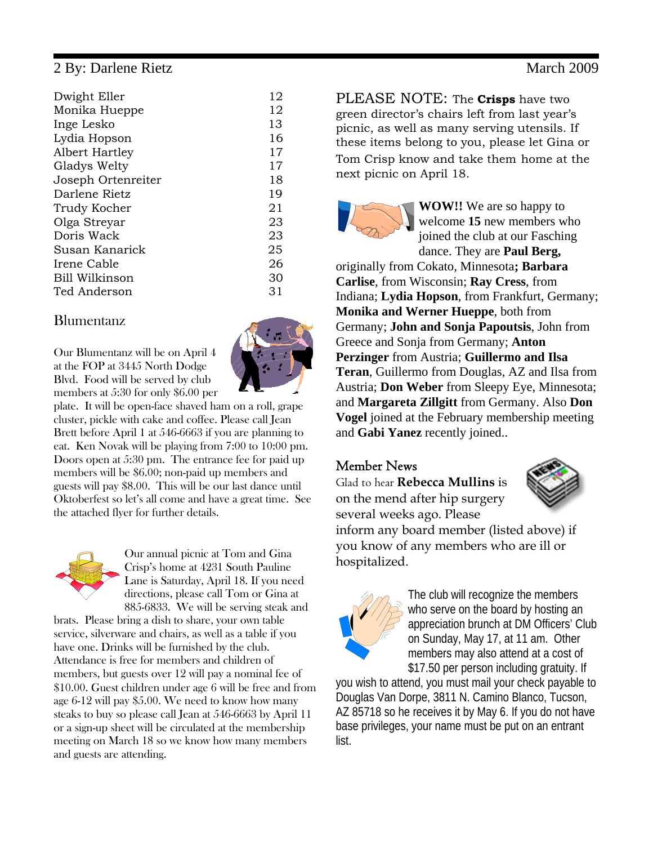### 2 By: Darlene Rietz March 2009

| Dwight Eller       | 12 |
|--------------------|----|
| Monika Hueppe      | 12 |
| Inge Lesko         | 13 |
| Lydia Hopson       | 16 |
| Albert Hartley     | 17 |
| Gladys Welty       | 17 |
| Joseph Ortenreiter | 18 |
| Darlene Rietz      | 19 |
| Trudy Kocher       | 21 |
| Olga Streyar       | 23 |
| Doris Wack         | 23 |
| Susan Kanarick     | 25 |
| Irene Cable        | 26 |
| Bill Wilkinson     | 30 |
| Ted Anderson       | 31 |

#### Blumentanz

Our Blumentanz will be on April 4 at the FOP at 3445 North Dodge Blvd. Food will be served by club members at 5:30 for only \$6.00 per



plate. It will be open-face shaved ham on a roll, grape cluster, pickle with cake and coffee. Please call Jean Brett before April 1 at 546-6663 if you are planning to eat. Ken Novak will be playing from 7:00 to 10:00 pm. Doors open at 5:30 pm. The entrance fee for paid up members will be \$6.00; non-paid up members and guests will pay \$8.00. This will be our last dance until Oktoberfest so let's all come and have a great time. See the attached flyer for further details.



Our annual picnic at Tom and Gina Crisp's home at 4231 South Pauline Lane is Saturday, April 18. If you need directions, please call Tom or Gina at 885-6833. We will be serving steak and

brats. Please bring a dish to share, your own table service, silverware and chairs, as well as a table if you have one. Drinks will be furnished by the club. Attendance is free for members and children of members, but guests over 12 will pay a nominal fee of \$10.00. Guest children under age 6 will be free and from age 6-12 will pay \$5.00. We need to know how many steaks to buy so please call Jean at 546-6663 by April 11 or a sign-up sheet will be circulated at the membership meeting on March 18 so we know how many members and guests are attending.

PLEASE NOTE: The **Crisps** have two green director's chairs left from last year's picnic, as well as many serving utensils. If these items belong to you, please let Gina or Tom Crisp know and take them home at the next picnic on April 18.



**WOW!!** We are so happy to welcome **15** new members who joined the club at our Fasching dance. They are **Paul Berg,**

originally from Cokato, Minnesota**; Barbara Carlise**, from Wisconsin; **Ray Cress**, from Indiana; **Lydia Hopson**, from Frankfurt, Germany; **Monika and Werner Hueppe**, both from Germany; **John and Sonja Papoutsis**, John from Greece and Sonja from Germany; **Anton Perzinger** from Austria; **Guillermo and Ilsa Teran**, Guillermo from Douglas, AZ and Ilsa from Austria; **Don Weber** from Sleepy Eye, Minnesota; and **Margareta Zillgitt** from Germany. Also **Don Vogel** joined at the February membership meeting and **Gabi Yanez** recently joined..

#### Member News

Glad to hear **Rebecca Mullins** is on the mend after hip surgery several weeks ago. Please



inform any board member (listed above) if you know of any members who are ill or hospitalized.



The club will recognize the members who serve on the board by hosting an appreciation brunch at DM Officers' Club on Sunday, May 17, at 11 am. Other members may also attend at a cost of \$17.50 per person including gratuity. If

you wish to attend, you must mail your check payable to Douglas Van Dorpe, 3811 N. Camino Blanco, Tucson, AZ 85718 so he receives it by May 6. If you do not have base privileges, your name must be put on an entrant list.